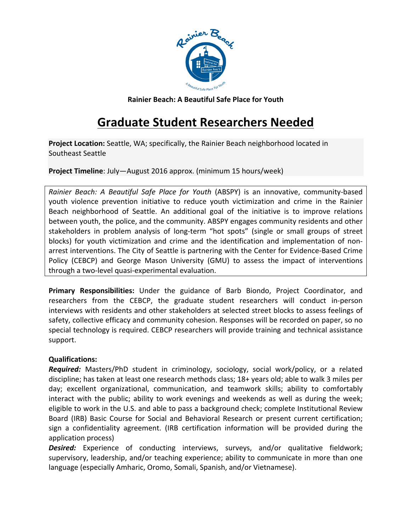

**Rainier Beach: A Beautiful Safe Place for Youth**

# **Graduate Student Researchers Needed**

**Project Location:** Seattle, WA; specifically, the Rainier Beach neighborhood located in Southeast Seattle

**Project Timeline**: July—August 2016 approx. (minimum 15 hours/week)

*Rainier Beach:* A *Beautiful Safe Place for Youth* (ABSPY) is an innovative, community-based youth violence prevention initiative to reduce youth victimization and crime in the Rainier Beach neighborhood of Seattle. An additional goal of the initiative is to improve relations between youth, the police, and the community. ABSPY engages community residents and other stakeholders in problem analysis of long-term "hot spots" (single or small groups of street blocks) for youth victimization and crime and the identification and implementation of nonarrest interventions. The City of Seattle is partnering with the Center for Evidence-Based Crime Policy (CEBCP) and George Mason University (GMU) to assess the impact of interventions through a two-level quasi-experimental evaluation.

**Primary Responsibilities:** Under the guidance of Barb Biondo, Project Coordinator, and researchers from the CEBCP, the graduate student researchers will conduct in-person interviews with residents and other stakeholders at selected street blocks to assess feelings of safety, collective efficacy and community cohesion. Responses will be recorded on paper, so no special technology is required. CEBCP researchers will provide training and technical assistance support.

# **Qualifications:**

**Required:** Masters/PhD student in criminology, sociology, social work/policy, or a related discipline; has taken at least one research methods class; 18+ years old; able to walk 3 miles per day; excellent organizational, communication, and teamwork skills; ability to comfortably interact with the public; ability to work evenings and weekends as well as during the week; eligible to work in the U.S. and able to pass a background check; complete Institutional Review Board (IRB) Basic Course for Social and Behavioral Research or present current certification; sign a confidentiality agreement. (IRB certification information will be provided during the application process)

**Desired:** Experience of conducting interviews, surveys, and/or qualitative fieldwork; supervisory, leadership, and/or teaching experience; ability to communicate in more than one language (especially Amharic, Oromo, Somali, Spanish, and/or Vietnamese).